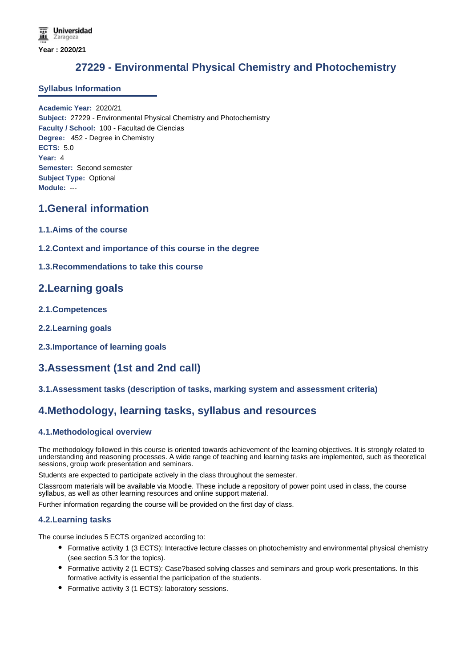# **27229 - Environmental Physical Chemistry and Photochemistry**

### **Syllabus Information**

**Academic Year:** 2020/21 **Subject:** 27229 - Environmental Physical Chemistry and Photochemistry **Faculty / School:** 100 - Facultad de Ciencias **Degree:** 452 - Degree in Chemistry **ECTS:** 5.0 **Year:** 4 **Semester:** Second semester **Subject Type:** Optional **Module:** ---

## **1.General information**

- **1.1.Aims of the course**
- **1.2.Context and importance of this course in the degree**
- **1.3.Recommendations to take this course**

## **2.Learning goals**

- **2.1.Competences**
- **2.2.Learning goals**
- **2.3.Importance of learning goals**

# **3.Assessment (1st and 2nd call)**

### **3.1.Assessment tasks (description of tasks, marking system and assessment criteria)**

## **4.Methodology, learning tasks, syllabus and resources**

### **4.1.Methodological overview**

The methodology followed in this course is oriented towards achievement of the learning objectives. It is strongly related to understanding and reasoning processes. A wide range of teaching and learning tasks are implemented, such as theoretical sessions, group work presentation and seminars.

Students are expected to participate actively in the class throughout the semester.

Classroom materials will be available via Moodle. These include a repository of power point used in class, the course syllabus, as well as other learning resources and online support material.

Further information regarding the course will be provided on the first day of class.

### **4.2.Learning tasks**

The course includes 5 ECTS organized according to:

- Formative activity 1 (3 ECTS): Interactive lecture classes on photochemistry and environmental physical chemistry (see section 5.3 for the topics).
- Formative activity 2 (1 ECTS): Case?based solving classes and seminars and group work presentations. In this formative activity is essential the participation of the students.
- Formative activity 3 (1 ECTS): laboratory sessions.